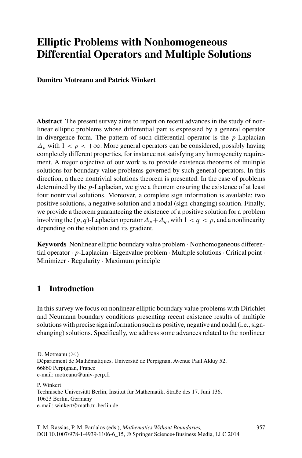# **Elliptic Problems with Nonhomogeneous Differential Operators and Multiple Solutions**

**Dumitru Motreanu and Patrick Winkert**

**Abstract** The present survey aims to report on recent advances in the study of nonlinear elliptic problems whose differential part is expressed by a general operator in divergence form. The pattern of such differential operator is the *p*-Laplacian  $\Delta_p$  with  $1 < p < +\infty$ . More general operators can be considered, possibly having completely different properties, for instance not satisfying any homogeneity requirement. A major objective of our work is to provide existence theorems of multiple solutions for boundary value problems governed by such general operators. In this direction, a three nontrivial solutions theorem is presented. In the case of problems determined by the *p*-Laplacian, we give a theorem ensuring the existence of at least four nontrivial solutions. Moreover, a complete sign information is available: two positive solutions, a negative solution and a nodal (sign-changing) solution. Finally, we provide a theorem guaranteeing the existence of a positive solution for a problem involving the  $(p, q)$ -Laplacian operator  $\Delta_p + \Delta_q$ , with  $1 < q < p$ , and a nonlinearity depending on the solution and its gradient.

**Keywords** Nonlinear elliptic boundary value problem · Nonhomogeneous differential operator · *p*-Laplacian · Eigenvalue problem · Multiple solutions· Critical point · Minimizer · Regularity · Maximum principle

## **1 Introduction**

In this survey we focus on nonlinear elliptic boundary value problems with Dirichlet and Neumann boundary conditions presenting recent existence results of multiple solutions with precise sign information such as positive, negative and nodal (i.e., signchanging) solutions. Specifically, we address some advances related to the nonlinear

P. Winkert Technische Universität Berlin, Institut für Mathematik, Straße des 17. Juni 136, 10623 Berlin, Germany e-mail: winkert@math.tu-berlin.de

D. Motreanu  $(\boxtimes)$ 

Département de Mathématiques, Université de Perpignan, Avenue Paul Alduy 52, 66860 Perpignan, France e-mail: motreanu@univ-perp.fr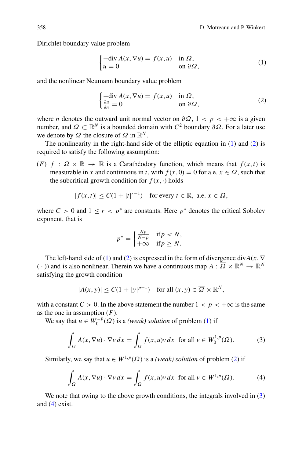Dirichlet boundary value problem

$$
\begin{cases}\n-\text{div}\,A(x,\nabla u) = f(x,u) & \text{in }\Omega, \\
u = 0 & \text{on }\partial\Omega,\n\end{cases}
$$
\n(1)

and the nonlinear Neumann boundary value problem

$$
\begin{cases}\n-\text{div}\,A(x,\nabla u) = f(x,u) & \text{in }\Omega, \\
\frac{\partial u}{\partial n} = 0 & \text{on }\partial\Omega,\n\end{cases}
$$
\n(2)

where *n* denotes the outward unit normal vector on  $\partial \Omega$ ,  $1 < p < +\infty$  is a given number, and *Ω* ⊂  $\mathbb{R}^N$  is a bounded domain with *C*<sup>2</sup> boundary  $\partial Ω$ . For a later use we denote by  $\overline{\Omega}$  the closure of  $\Omega$  in  $\mathbb{R}^N$ .

The nonlinearity in the right-hand side of the elliptic equation in (1) and (2) is required to satisfy the following assumption:

(*F*)  $f : \Omega \times \mathbb{R} \to \mathbb{R}$  is a Carathéodory function, which means that  $f(x, t)$  is measurable in *x* and continuous in *t*, with  $f(x, 0) = 0$  for a.e.  $x \in \Omega$ , such that the subcritical growth condition for  $f(x, \cdot)$  holds

$$
|f(x,t)| \le C(1+|t|^{r-1}) \quad \text{for every } t \in \mathbb{R}, \text{ a.e. } x \in \Omega,
$$

where  $C > 0$  and  $1 \le r < p^*$  are constants. Here  $p^*$  denotes the critical Sobolev exponent, that is

$$
p^* = \begin{cases} \frac{Np}{N-p} & \text{if } p < N, \\ +\infty & \text{if } p \ge N. \end{cases}
$$

The left-hand side of (1) and (2) is expressed in the form of divergence div*A*(*x*, ∇ ( $\cdot$ )) and is also nonlinear. Therein we have a continuous map  $A: \overline{\Omega} \times \mathbb{R}^N \to \mathbb{R}^N$ satisfying the growth condition

$$
|A(x, y)| \le C(1 + |y|^{p-1}) \quad \text{for all } (x, y) \in \overline{\Omega} \times \mathbb{R}^N,
$$

with a constant  $C > 0$ . In the above statement the number  $1 < p < +\infty$  is the same as the one in assumption (*F*).

We say that  $u \in W_0^{1,p}(\Omega)$  is a *(weak) solution* of problem (1) if

$$
\int_{\Omega} A(x, \nabla u) \cdot \nabla v \, dx = \int_{\Omega} f(x, u)v \, dx \text{ for all } v \in W_0^{1, p}(\Omega). \tag{3}
$$

Similarly, we say that  $u \in W^{1,p}(\Omega)$  is a *(weak) solution* of problem (2) if

$$
\int_{\Omega} A(x, \nabla u) \cdot \nabla v \, dx = \int_{\Omega} f(x, u)v \, dx \text{ for all } v \in W^{1, p}(\Omega). \tag{4}
$$

We note that owing to the above growth conditions, the integrals involved in  $(3)$ and (4) exist.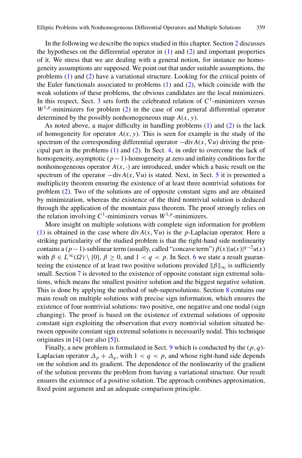In the following we describe the topics studied in this chapter. Section [2](#page-3-0) discusses the hypotheses on the differential operator in  $(1)$  and  $(2)$  and important properties of it. We stress that we are dealing with a general notion, for instance no homogeneity assumptions are supposed. We point out that under suitable assumptions, the problems (1) and (2) have a variational structure. Looking for the critical points of the Euler functionals associated to problems  $(1)$  and  $(2)$ , which coincide with the weak solutions of these problems, the obvious candidates are the local minimizers. In this respect, Sect. [3](#page-5-0) sets forth the celebrated relation of  $C<sup>1</sup>$ -minimizers versus  $W^{1,p}$ -minimizers for problem (2) in the case of our general differential operator determined by the possibly nonhomogeneous map *A*(*x*, *y*).

As noted above, a major difficulty in handling problems (1) and (2) is the lack of homogeneity for operator  $A(x, y)$ . This is seen for example in the study of the spectrum of the corresponding differential operator  $-\text{div}A(x, \nabla u)$  driving the principal part in the problems (1) and (2). In Sect. [4,](#page-7-0) in order to overcome the lack of homogeneity, asymptotic (*p*−1)-homogeneity at zero and infinity conditions for the nonhomogeneous operator  $A(x, \cdot)$  are introduced, under which a basic result on the spectrum of the operator  $-\text{div}A(x, \nabla u)$  is stated. Next, in Sect. [5](#page-8-0) it is presented a multiplicity theorem ensuring the existence of at least three nontrivial solutions for problem (2). Two of the solutions are of opposite constant signs and are obtained by minimization, whereas the existence of the third nontrivial solution is deduced through the application of the mountain pass theorem. The proof strongly relies on the relation involving  $C^1$ -minimizers versus  $W^{1,p}$ -minimizers.

More insight on multiple solutions with complete sign information for problem (1) is obtained in the case where  $div A(x, \nabla u)$  is the *p*-Laplacian operator. Here a striking particularity of the studied problem is that the right-hand side nonlinearity contains a (*p*−1)-sublinear term (usually, called "concave term")  $\beta(x)|u(x)|^{q-2}u(x)$ with  $\beta \in L^{\infty}(\Omega) \setminus \{0\}, \beta \ge 0$ , and  $1 < q < p$ . In Sect. [6](#page-11-0) we state a result guaranteeing the existence of at least two positive solutions provided  $\|\beta\|_{\infty}$  is sufficiently small. Section [7](#page-14-0) is devoted to the existence of opposite constant sign extremal solutions, which means the smallest positive solution and the biggest negative solution. This is done by applying the method of sub-supersolutions. Section [8](#page-17-0) contains our main result on multiple solutions with precise sign information, which ensures the existence of four nontrivial solutions: two positive, one negative and one nodal (sign changing). The proof is based on the existence of extremal solutions of opposite constant sign exploiting the observation that every nontrivial solution situated between opposite constant sign extremal solutions is necessarily nodal. This technique originates in  $[4]$  $[4]$  (see also  $[5]$  $[5]$ ).

Finally, a new problem is formulated in Sect. [9](#page-18-0) which is conducted by the  $(p, q)$ -Laplacian operator  $\Delta_p + \Delta_q$ , with  $1 < q < p$ , and whose right-hand side depends on the solution and its gradient. The dependence of the nonlinearity of the gradient of the solution prevents the problem from having a variational structure. Our result ensures the existence of a positive solution. The approach combines approximation, fixed point argument and an adequate comparison principle.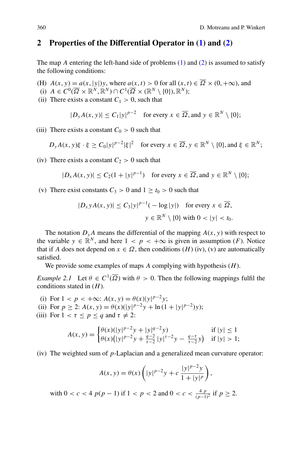#### <span id="page-3-0"></span>**2 Properties of the Differential Operator in (1) and (2)**

The map *A* entering the left-hand side of problems (1) and (2) is assumed to satisfy the following conditions:

- (H)  $A(x, y) = a(x, |y|)y$ , where  $a(x, t) > 0$  for all  $(x, t) \in \overline{\Omega} \times (0, +\infty)$ , and
- (i)  $A \in C^0(\overline{\Omega} \times \mathbb{R}^N, \mathbb{R}^N) \cap C^1(\overline{\Omega} \times (\mathbb{R}^N \setminus \{0\}), \mathbb{R}^N);$
- (ii) There exists a constant  $C_1 > 0$ , such that

$$
|D_y A(x, y)| \le C_1 |y|^{p-2} \quad \text{for every } x \in \overline{\Omega}, \text{and } y \in \mathbb{R}^N \setminus \{0\};
$$

(iii) There exists a constant  $C_0 > 0$  such that

$$
D_{\mathbf{y}}A(x,\mathbf{y})\xi \cdot \xi \ge C_0|\mathbf{y}|^{p-2}|\xi|^2 \quad \text{for every } x \in \overline{\Omega}, \mathbf{y} \in \mathbb{R}^N \setminus \{0\}, \text{and } \xi \in \mathbb{R}^N;
$$

(iv) There exists a constant  $C_2 > 0$  such that

$$
|D_x A(x, y)| \le C_2(1 + |y|^{p-1}) \quad \text{for every } x \in \overline{\Omega}, \text{ and } y \in \mathbb{R}^N \setminus \{0\};
$$

(v) There exist constants  $C_3 > 0$  and  $1 \ge t_0 > 0$  such that

$$
|D_x y A(x, y)| \le C_3 |y|^{p-1} (-\log|y|) \quad \text{for every } x \in \overline{\Omega},
$$
  

$$
y \in \mathbb{R}^N \setminus \{0\} \text{ with } 0 < |y| < t_0.
$$

The notation  $D_yA$  means the differential of the mapping  $A(x, y)$  with respect to the variable  $y \in \mathbb{R}^N$ , and here  $1 < p < +\infty$  is given in assumption (*F*). Notice that if *A* does not depend on  $x \in \Omega$ , then conditions  $(H)$  (iv), (v) are automatically satisfied.

We provide some examples of maps *A* complying with hypothesis (*H*).

*Example 2.1* Let  $\theta \in C^1(\overline{\Omega})$  with  $\theta > 0$ . Then the following mappings fulfil the conditions stated in (*H*).

- (i) For  $1 < p < +\infty$ :  $A(x, y) = \theta(x)|y|^{p-2}y$ ;
- (ii) For  $p \ge 2$ :  $A(x, y) = \theta(x)(|y|^{p-2}y + \ln(1+|y|^{p-2})y)$ ;
- (iii) For  $1 < \tau \le p \le q$  and  $\tau \ne 2$ :

$$
A(x, y) = \begin{cases} \theta(x)(|y|^{p-2}y + |y|^{q-2}y) & \text{if } |y| \le 1\\ \theta(x)(|y|^{p-2}y + \frac{q-2}{\tau-2}|y|^{\tau-2}y - \frac{q-\tau}{\tau-2}y) & \text{if } |y| > 1; \end{cases}
$$

(iv) The weighted sum of *p*-Laplacian and a generalized mean curvature operator:

$$
A(x, y) = \theta(x) \left( |y|^{p-2} y + c \frac{|y|^{p-2} y}{1 + |y|^p} \right),
$$

with  $0 < c < 4$   $p(p-1)$  if  $1 < p < 2$  and  $0 < c < \frac{4}{(p-1)^2}$  if  $p \ge 2$ .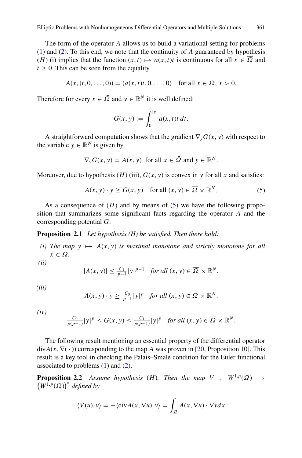The form of the operator *A* allows us to build a variational setting for problems (1) and (2). To this end, we note that the continuity of *A* guaranteed by hypothesis (*H*) (i) implies that the function  $(x, t) \mapsto a(x, t)t$  is continuous for all  $x \in \Omega$  and  $t > 0$ . This can be seen from the equality

$$
A(x, (t, 0, \dots, 0)) = (a(x, t)t, 0, \dots, 0) \quad \text{for all } x \in \overline{\Omega}, t > 0.
$$

Therefore for every  $x \in \overline{\Omega}$  and  $y \in \mathbb{R}^N$  it is well defined:

$$
G(x, y) := \int_0^{|y|} a(x, t) t \, dt.
$$

A straightforward computation shows that the gradient  $\nabla_{\mathbf{y}}G(\mathbf{x}, \mathbf{y})$  with respect to the variable  $y \in \mathbb{R}^N$  is given by

$$
\nabla_y G(x, y) = A(x, y) \text{ for all } x \in \overline{\Omega} \text{ and } y \in \mathbb{R}^N.
$$

Moreover, due to hypothesis (*H*) (iii),  $G(x, y)$  is convex in *y* for all *x* and satisfies:

$$
A(x, y) \cdot y \ge G(x, y) \quad \text{for all } (x, y) \in \overline{\Omega} \times \mathbb{R}^N. \tag{5}
$$

As a consequence of  $(H)$  and by means of  $(5)$  we have the following proposition that summarizes some significant facts regarding the operator *A* and the corresponding potential *G*.

**Proposition 2.1** *Let hypothesis (H) be satisfied. Then there hold:*

*(i)* The map  $y \mapsto A(x, y)$  *is maximal monotone and strictly monotone for all*  $x \in \overline{\Omega}$ *.* 

*(ii)*

$$
|A(x, y)| \le \frac{C_1}{p-1}|y|^{p-1} \quad \text{for all } (x, y) \in \overline{\Omega} \times \mathbb{R}^N.
$$

*(iii)*

$$
A(x, y) \cdot y \ge \frac{C_0}{p-1}|y|^p \quad \text{for all } (x, y) \in \overline{\Omega} \times \mathbb{R}^N.
$$

*(iv)*

$$
\frac{C_0}{p(p-1)}|y|^p \le G(x,y) \le \frac{C_1}{p(p-1)}|y|^p \quad \text{for all } (x,y) \in \overline{\Omega} \times \mathbb{R}^N.
$$

The following result mentioning an essential property of the differential operator  $div A(x, \nabla(\cdot))$  corresponding to the map *A* was proven in [\[20,](#page-22-0) Proposition 10]. This result is a key tool in checking the Palais–Smale condition for the Euler functional associated to problems  $(1)$  and  $(2)$ .

**Proposition 2.2** *Assume hypothesis* (*H*)*. Then the map*  $V : W^{1,p}(\Omega) \rightarrow$  $(W^{1,p}(\Omega))^*$  *defined by* 

$$
\langle V(u), v \rangle = -\langle \operatorname{div} A(x, \nabla u), v \rangle = \int_{\Omega} A(x, \nabla u) \cdot \nabla v dx
$$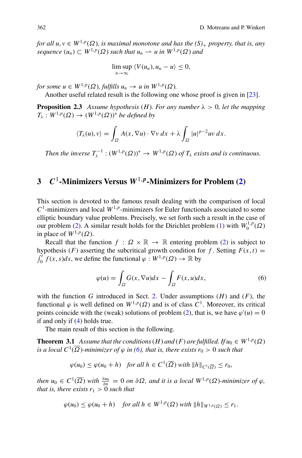<span id="page-5-0"></span>*for all u, v*  $\in W^{1,p}(\Omega)$ *, is maximal monotone and has the*  $(S)_+$  *property, that is, any sequence*  $(u_n) \subset W^{1,p}(\Omega)$  *such that*  $u_n \to u$  *in*  $W^{1,p}(\Omega)$  *and* 

$$
\limsup_{n\to\infty}\left\langle V(u_n),u_n-u\right\rangle\leq 0,
$$

*for some*  $u \in W^{1,p}(\Omega)$ *, fulfills*  $u_n \to u$  *in*  $W^{1,p}(\Omega)$ *.* 

Another useful related result is the following one whose proof is given in [\[23](#page-22-0)].

**Proposition 2.3** *Assume hypothesis* (*H*)*. For any number*  $\lambda > 0$ *, let the mapping*  $T_{\lambda}: W^{1,p}(\Omega) \to (W^{1,p}(\Omega))^*$  *be defined by* 

$$
\langle T_{\lambda}(u), v \rangle = \int_{\Omega} A(x, \nabla u) \cdot \nabla v \, dx + \lambda \int_{\Omega} |u|^{p-2} u v \, dx.
$$

*Then the inverse*  $T_{\lambda}^{-1}$  :  $(W^{1,p}(\Omega))^* \to W^{1,p}(\Omega)$  *of*  $T_{\lambda}$  *exists and is continuous.* 

## **3** *C*1**-Minimizers Versus** *W*1,*p***-Minimizers for Problem (2)**

This section is devoted to the famous result dealing with the comparison of local  $C<sup>1</sup>$ -minimizers and local  $W<sup>1,p</sup>$ -minimizers for Euler functionals associated to some elliptic boundary value problems. Precisely, we set forth such a result in the case of our problem (2). A similar result holds for the Dirichlet problem (1) with  $W_0^{1,p}(\Omega)$ in place of  $W^{1,p}(\Omega)$ .

Recall that the function  $f : \Omega \times \mathbb{R} \to \mathbb{R}$  entering problem (2) is subject to hypothesis (*F*) asserting the subcritical growth condition for *f*. Setting  $F(x, t) =$  $\int_0^t f(x, s) ds$ , we define the functional  $\varphi : W^{1,p}(\Omega) \to \mathbb{R}$  by

$$
\varphi(u) = \int_{\Omega} G(x, \nabla u) dx - \int_{\Omega} F(x, u) dx,
$$
\n(6)

with the function *G* introduced in Sect. [2.](#page-3-0) Under assumptions  $(H)$  and  $(F)$ , the functional  $\varphi$  is well defined on  $W^{1,p}(\Omega)$  and is of class  $C^1$ . Moreover, its critical points coincide with the (weak) solutions of problem (2), that is, we have  $\varphi'(u) = 0$ if and only if (4) holds true.

The main result of this section is the following.

**Theorem 3.1** *Assume that the conditions*  $(H)$  *and*  $(F)$  *are fulfilled. If*  $u_0 \in W^{1,p}(\Omega)$ *is a local*  $C^1(\overline{\Omega})$ *-minimizer of*  $\varphi$  *in* (6), that is, there exists  $r_0 > 0$  such that

$$
\varphi(u_0) \le \varphi(u_0 + h) \quad \text{for all } h \in C^1(\overline{\Omega}) \text{ with } ||h||_{C^1(\overline{\Omega})} \le r_0,
$$

*then*  $u_0 \in C^1(\overline{\Omega})$  *with*  $\frac{\partial u_0}{\partial n} = 0$  *on*  $\partial \Omega$ *, and it is a local*  $W^{1,p}(\Omega)$ *-minimizer of*  $\varphi$ *, that is, there exists*  $r_1 > 0$  *such that* 

$$
\varphi(u_0) \le \varphi(u_0 + h) \quad \text{for all } h \in W^{1,p}(\Omega) \text{ with } ||h||_{W^{1,p}(\Omega)} \le r_1.
$$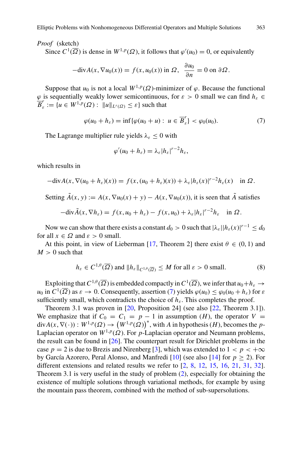#### *Proof* (sketch)

Since  $C^1(\overline{\Omega})$  is dense in  $W^{1,p}(\Omega)$ , it follows that  $\varphi'(u_0) = 0$ , or equivalently

$$
-\text{div}A(x,\nabla u_0(x)) = f(x,u_0(x)) \text{ in } \Omega, \ \frac{\partial u_0}{\partial n} = 0 \text{ on } \partial \Omega.
$$

Suppose that  $u_0$  is not a local  $W^{1,p}(\Omega)$ -minimizer of  $\varphi$ . Because the functional  $\varphi$  is sequentially weakly lower semicontinuous, for  $\varepsilon > 0$  small we can find  $h_{\varepsilon} \in$  $\overline{B}_{\varepsilon}^{r} := \{u \in W^{1,p}(\Omega) : ||u||_{L^{r}(\Omega)} \leq \varepsilon\}$  such that

$$
\varphi(u_0 + h_{\varepsilon}) = \inf \{ \varphi(u_0 + u) : \ u \in \overline{B}_{\varepsilon}' \} < \varphi_0(u_0). \tag{7}
$$

The Lagrange multiplier rule yields  $\lambda_{\varepsilon} \leq 0$  with

$$
\varphi'(u_0+h_\varepsilon)=\lambda_\varepsilon|h_\varepsilon|^{r-2}h_\varepsilon,
$$

which results in

$$
-\text{div}A(x,\nabla(u_0+h_\varepsilon)(x))=f(x,(u_0+h_\varepsilon)(x))+\lambda_\varepsilon|h_\varepsilon(x)|^{r-2}h_\varepsilon(x)\quad\text{in }\Omega.
$$

Setting  $\tilde{A}(x, y) := A(x, \nabla u_0(x) + y) - A(x, \nabla u_0(x))$ , it is seen that  $\tilde{A}$  satisfies

$$
-\text{div}\tilde{A}(x,\nabla h_{\varepsilon})=f(x,u_0+h_{\varepsilon})-f(x,u_0)+\lambda_{\varepsilon}|h_{\varepsilon}|^{r-2}h_{\varepsilon}\quad\text{in }\Omega.
$$

Now we can show that there exists a constant  $d_0 > 0$  such that  $|\lambda_{\varepsilon}| |h_{\varepsilon}(x)|^{r-1} \leq d_0$ for all  $x \in \Omega$  and  $\varepsilon > 0$  small.

At this point, in view of Lieberman [\[17,](#page-22-0) Theorem 2] there exist  $\theta \in (0, 1)$  and  $M > 0$  such that

$$
h_{\varepsilon} \in C^{1,\theta}(\overline{\Omega}) \text{ and } \|h_{\varepsilon}\|_{C^{1,\theta}(\overline{\Omega})} \le M \text{ for all } \varepsilon > 0 \text{ small.}
$$
 (8)

Exploiting that  $C^{1,\theta}(\overline{\Omega})$  is embedded compactly in  $C^1(\overline{\Omega})$ , we infer that  $u_0+h_\varepsilon \to$  $u_0$  in  $C^1(\overline{\Omega})$  as  $\varepsilon \to 0$ . Consequently, assertion (7) yields  $\varphi(u_0) \leq \varphi_0(u_0 + h_{\varepsilon})$  for  $\varepsilon$ sufficiently small, which contradicts the choice of  $h_{\varepsilon}$ . This completes the proof.

Theorem 3.1 was proven in [\[20](#page-22-0), Proposition 24] (see also [\[22,](#page-22-0) Theorem 3.1]). We emphasize that if  $C_0 = C_1 = p - 1$  in assumption (*H*), the operator  $V =$  $div A(x, \nabla(\cdot)) : W^{1,p}(\Omega) \to (W^{1,p}(\Omega))^*$ , with *A* in hypothesis (*H*), becomes the *p*-Laplacian operator on  $W^{1,p}(\Omega)$ . For *p*-Laplacian operator and Neumann problems, the result can be found in [\[26\]](#page-22-0). The counterpart result for Dirichlet problems in the case  $p = 2$  is due to Brezis and Nirenberg [\[3\]](#page-21-0), which was extended to  $1 < p < +\infty$ by García Azorero, Peral Alonso, and Manfredi [\[10](#page-21-0)] (see also [\[14](#page-21-0)] for  $p \ge 2$ ). For different extensions and related results we refer to [\[2,](#page-21-0) [8](#page-21-0), [12](#page-21-0), [15,](#page-21-0) [16,](#page-22-0) [21](#page-22-0), [31](#page-22-0), [32\]](#page-22-0). Theorem 3.1 is very useful in the study of problem (2), especially for obtaining the existence of multiple solutions through variational methods, for example by using the mountain pass theorem, combined with the method of sub-supersolutions.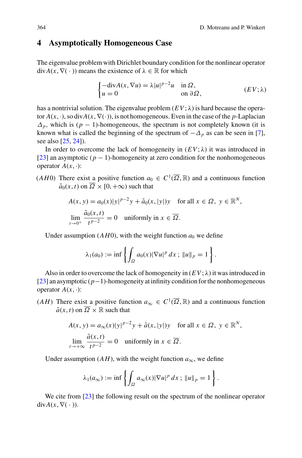#### <span id="page-7-0"></span>**4 Asymptotically Homogeneous Case**

The eigenvalue problem with Dirichlet boundary condition for the nonlinear operator  $div A(x, \nabla(\cdot))$  means the existence of  $\lambda \in \mathbb{R}$  for which

$$
\begin{cases}\n-\text{div}A(x,\nabla u) = \lambda |u|^{p-2}u & \text{in }\Omega, \\
u = 0 & \text{on }\partial\Omega,\n\end{cases} (EV;\lambda)
$$

has a nontrivial solution. The eigenvalue problem  $(EV; \lambda)$  is hard because the operator  $A(x, \cdot)$ , so div $A(x, \nabla(\cdot))$ , is not homogeneous. Even in the case of the *p*-Laplacian  $\Delta_p$ , which is ( $p - 1$ )-homogeneous, the spectrum is not completely known (it is known what is called the beginning of the spectrum of  $-\Delta_p$  as can be seen in [\[7\]](#page-21-0), see also [\[25,](#page-22-0) [24\]](#page-22-0)).

In order to overcome the lack of homogeneity in  $(EV; \lambda)$  it was introduced in [\[23](#page-22-0)] an asymptotic (*p* − 1)-homogeneity at zero condition for the nonhomogeneous operator  $A(x, \cdot)$ :

(*AH*0) There exist a positive function  $a_0 \in C^1(\overline{\Omega}, \mathbb{R})$  and a continuous function  $\tilde{a}_0(x, t)$  on  $\overline{\Omega} \times [0, +\infty)$  such that

$$
A(x, y) = a_0(x)|y|^{p-2}y + \tilde{a}_0(x, |y|)y \quad \text{for all } x \in \Omega, y \in \mathbb{R}^N,
$$
  

$$
\lim_{t \to 0^+} \frac{\tilde{a}_0(x, t)}{t^{p-2}} = 0 \quad \text{uniformly in } x \in \overline{\Omega}.
$$

Under assumption  $(AH0)$ , with the weight function  $a_0$  we define

$$
\lambda_1(a_0) := \inf \left\{ \int_{\Omega} a_0(x) |\nabla u|^p \, dx \, ; \, \|u\|_p = 1 \right\}.
$$

Also in order to overcome the lack of homogeneity in  $(EV; \lambda)$  it was introduced in [\[23](#page-22-0)] an asymptotic (*p*−1)-homogeneity at infinity condition for the nonhomogeneous operator  $A(x, \cdot)$ :

(*AH*) There exist a positive function  $a_{\infty} \in C^1(\overline{\Omega}, \mathbb{R})$  and a continuous function  $\tilde{a}(x, t)$  on  $\overline{\Omega} \times \mathbb{R}$  such that

$$
A(x, y) = a_{\infty}(x)|y|^{p-2}y + \tilde{a}(x, |y|)y \quad \text{for all } x \in \Omega, y \in \mathbb{R}^{N},
$$
  

$$
\lim_{t \to +\infty} \frac{\tilde{a}(x, t)}{t^{p-2}} = 0 \quad \text{uniformly in } x \in \overline{\Omega}.
$$

Under assumption  $(AH)$ , with the weight function  $a_{\infty}$ , we define

$$
\lambda_1(a_\infty) := \inf \left\{ \int_{\Omega} a_\infty(x) |\nabla u|^p \, dx \, ; \, \|u\|_p = 1 \right\}.
$$

We cite from [\[23](#page-22-0)] the following result on the spectrum of the nonlinear operator  $div A(x, \nabla(\cdot)).$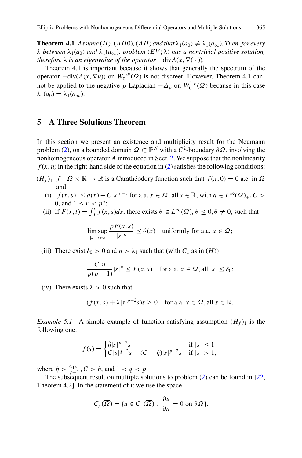<span id="page-8-0"></span>**Theorem 4.1** *Assume* (*H*)*,* (*AH*0*),* (*AH*) *and that*  $\lambda_1(a_0) \neq \lambda_1(a_\infty)$ *. Then, for every λ between*  $λ_1(a_0)$  *and*  $λ_1(a_∞)$ *, problem* (*EV*;  $λ$ ) *has a nontrivial positive solution, therefore*  $\lambda$  *is an eigenvalue of the operator*  $-\text{div}A(x, \nabla(\cdot))$ *.* 

Theorem 4.1 is important because it shows that generally the spectrum of the operator  $-\text{div}(A(x, \nabla u))$  on  $W_0^{1,p}(\Omega)$  is not discreet. However, Theorem 4.1 cannot be applied to the negative *p*-Laplacian  $-\Delta_p$  on  $W_0^{1,p}(\Omega)$  because in this case  $λ_1(a_0) = λ_1(a_\infty)$ .

#### **5 A Three Solutions Theorem**

In this section we present an existence and multiplicity result for the Neumann problem (2), on a bounded domain  $\Omega \subset \mathbb{R}^N$  with a  $C^2$ -boundary  $\partial \Omega$ , involving the nonhomogeneous operator *A* introduced in Sect. [2.](#page-3-0) We suppose that the nonlinearity  $f(x, u)$  in the right-hand side of the equation in (2) satisfies the following conditions:

 $(H_f)$  *f* :  $\Omega \times \mathbb{R} \to \mathbb{R}$  is a Carathéodory function such that  $f(x, 0) = 0$  a.e. in  $\Omega$ and

- (i) |*f* (*x*,*s*)| ≤ *a*(*x*) + *C*|*s*| *<sup>r</sup>*−<sup>1</sup> for a.a. *x* ∈ *Ω*, all *s* ∈ R, with *a* ∈ *L*<sup>∞</sup>(*Ω*)+,*C >* 0, and  $1 \le r < p^*$ ;
- (ii) If  $F(x, t) = \int_0^t \hat{f}(x, s)ds$ , there exists  $\theta \in L^{\infty}(\Omega)$ ,  $\theta \le 0, \theta \ne 0$ , such that

$$
\limsup_{|s| \to \infty} \frac{pF(x, s)}{|s|^p} \le \theta(x) \quad \text{uniformly for a.a. } x \in \Omega;
$$

(iii) There exist  $\delta_0 > 0$  and  $\eta > \lambda_1$  such that (with  $C_1$  as in  $(H)$ )

$$
\frac{C_1\eta}{p(p-1)}|s|^p \le F(x,s) \quad \text{for a.a. } x \in \Omega, \text{all } |s| \le \delta_0;
$$

(iv) There exists  $\lambda > 0$  such that

$$
(f(x, s) + \lambda |s|^{p-2} s)s \ge 0
$$
 for a.a.  $x \in \Omega$ , all  $s \in \mathbb{R}$ .

*Example 5.1* A simple example of function satisfying assumption  $(H_f)$  is the following one:

$$
f(s) = \begin{cases} \hat{\eta}|s|^{p-2}s & \text{if } |s| \le 1\\ C|s|^{q-2}s - (C - \hat{\eta})|s|^{p-2}s & \text{if } |s| > 1, \end{cases}
$$

where  $\hat{\eta} > \frac{C_1 \lambda_1}{p-1}$ ,  $C > \hat{\eta}$ , and  $1 < q < p$ .

The subsequent result on multiple solutions to problem  $(2)$  can be found in [\[22](#page-22-0), Theorem 4.2]. In the statement of it we use the space

$$
C_n^1(\overline{\Omega}) = \{ u \in C^1(\overline{\Omega}) : \ \frac{\partial u}{\partial n} = 0 \text{ on } \partial \Omega \}.
$$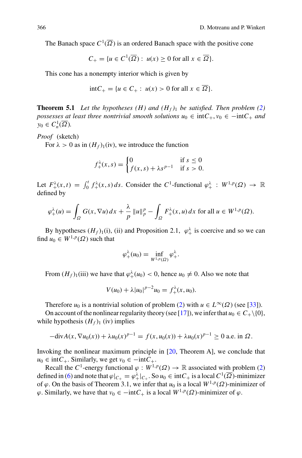The Banach space  $C^1(\overline{\Omega})$  is an ordered Banach space with the positive cone

$$
C_+ = \{ u \in C^1(\overline{\Omega}) : u(x) \ge 0 \text{ for all } x \in \overline{\Omega} \}.
$$

This cone has a nonempty interior which is given by

$$
int C_{+} = \{ u \in C_{+} : u(x) > 0 \text{ for all } x \in \overline{\Omega} \}.
$$

**Theorem 5.1** *Let the hypotheses*  $(H)$  *and*  $(H_f)$ <sup>1</sup> *be satisfied. Then problem*  $(2)$ *possesses at least three nontrivial smooth solutions*  $u_0 \in \text{int}C_+$ ,  $v_0 \in -\text{int}C_+$  *and*  $y_0 \in C^1_n(\overline{\Omega})$ .

*Proof* (sketch)

For  $\lambda > 0$  as in  $(H_f)$ <sub>1</sub>(iv), we introduce the function

$$
f_+^{\lambda}(x,s) = \begin{cases} 0 & \text{if } s \le 0\\ f(x,s) + \lambda s^{p-1} & \text{if } s > 0. \end{cases}
$$

Let  $F_+^{\lambda}(x,t) = \int_0^t f_+^{\lambda}(x,s) ds$ . Consider the *C*<sup>1</sup>-functional  $\varphi_+^{\lambda}: W^{1,p}(\Omega) \to \mathbb{R}$ defined by

$$
\varphi_+^{\lambda}(u) = \int_{\Omega} G(x, \nabla u) dx + \frac{\lambda}{p} ||u||_p^p - \int_{\Omega} F_+^{\lambda}(x, u) dx \text{ for all } u \in W^{1, p}(\Omega).
$$

By hypotheses  $(H_f)$ <sub>1</sub>(i), (ii) and Proposition 2.1,  $\varphi^{\lambda}_+$  is coercive and so we can find  $u_0 \in W^{1,p}(\Omega)$  such that

$$
\varphi_+^{\lambda}(u_0)=\inf_{W^{1,p}(\Omega)}\varphi_+^{\lambda}.
$$

From  $(H_f)_1$ (iii) we have that  $\varphi_+^{\lambda}(u_0) < 0$ , hence  $u_0 \neq 0$ . Also we note that

$$
V(u_0) + \lambda |u_0|^{p-2} u_0 = f_+^{\lambda}(x, u_0).
$$

Therefore  $u_0$  is a nontrivial solution of problem (2) with  $u \in L^{\infty}(\Omega)$  (see [\[33\]](#page-22-0)).

On account of the nonlinear regularity theory (see [\[17\]](#page-22-0)), we infer that  $u_0 \in C_+\setminus\{0\}$ , while hypothesis  $(H_f)$ <sup>1</sup> (iv) implies

$$
-\text{div}A(x,\nabla u_0(x)) + \lambda u_0(x)^{p-1} = f(x,u_0(x)) + \lambda u_0(x)^{p-1} \ge 0 \text{ a.e. in } \Omega.
$$

Invoking the nonlinear maximum principle in [\[20,](#page-22-0) Theorem A], we conclude that  $u_0 \in \text{int}C_+$ . Similarly, we get  $v_0 \in -\text{int}C_+$ .

Recall the *C*<sup>1</sup>-energy functional  $\varphi : W^{1,p}(\Omega) \to \mathbb{R}$  associated with problem (2) defined in (6) and note that  $\varphi|_{C_+} = \varphi_+^{\lambda}|_{C_+}$ . So  $u_0 \in \text{int}C_+$  is a local  $C^1(\overline{\Omega})$ -minimizer of  $\varphi$ . On the basis of Theorem 3.1, we infer that  $u_0$  is a local  $W^{1,p}(\Omega)$ -minimizer of  $\varphi$ . Similarly, we have that  $v_0 \in -\text{int}C_+$  is a local  $W^{1,p}(\Omega)$ -minimizer of  $\varphi$ .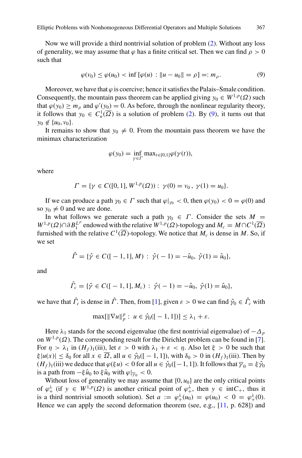Now we will provide a third nontrivial solution of problem (2). Without any loss of generality, we may assume that  $\varphi$  has a finite critical set. Then we can find  $\rho > 0$ such that

$$
\varphi(v_0) \le \varphi(u_0) < \inf \left[ \varphi(u) : \|u - u_0\| = \rho \right] =: m_\rho. \tag{9}
$$

Moreover, we have that  $\varphi$  is coercive; hence it satisfies the Palais–Smale condition. Consequently, the mountain pass theorem can be applied giving  $y_0 \in W^{1,p}(\Omega)$  such that  $\varphi(y_0) \ge m_\rho$  and  $\varphi'(y_0) = 0$ . As before, through the nonlinear regularity theory, it follows that  $y_0 \in C_n^1(\overline{\Omega})$  is a solution of problem (2). By (9), it turns out that  $y_0 \notin \{u_0, v_0\}.$ 

It remains to show that  $y_0 \neq 0$ . From the mountain pass theorem we have the minimax characterization

$$
\varphi(y_0) = \inf_{\gamma \in \Gamma} \max_{t \in [0,1]} \varphi(\gamma(t)),
$$

where

$$
\Gamma = \{ \gamma \in C([0,1], W^{1,p}(\Omega)) : \gamma(0) = v_0, \gamma(1) = u_0 \}.
$$

If we can produce a path  $\gamma_0 \in \Gamma$  such that  $\varphi|_{\gamma_0} < 0$ , then  $\varphi(y_0) < 0 = \varphi(0)$  and so  $y_0 \neq 0$  and we are done.

In what follows we generate such a path  $\gamma_0 \in \Gamma$ . Consider the sets  $M =$ *W*<sup>1,*p*</sup>( $\Omega$ )∩∂ $B_1^{L^p}$  endowed with the relative  $W^{1,p}(\Omega)$ -topology and  $M_c = M \cap C^1(\overline{\Omega})$ furnished with the relative  $C^1(\overline{\Omega})$ -topology. We notice that  $M_c$  is dense in M. So, if we set

$$
\hat{\Gamma} = \{ \hat{\gamma} \in C([-1, 1], M) : \hat{\gamma}(-1) = -\hat{u}_0, \ \hat{\gamma}(1) = \hat{u}_0 \},
$$

and

$$
\hat{\Gamma}_c = \{ \hat{\gamma} \in C([-1, 1], M_c) : \hat{\gamma}(-1) = -\hat{u}_0, \ \hat{\gamma}(1) = \hat{u}_0 \},
$$

we have that  $\hat{\Gamma}_c$  is dense in  $\hat{\Gamma}$ . Then, from [\[1\]](#page-21-0), given  $\varepsilon > 0$  we can find  $\hat{\gamma}_0 \in \hat{\Gamma}_c$  with

$$
\max[\|\nabla u\|_p^p: u \in \hat{\gamma}_0([-1,1])] \leq \lambda_1 + \varepsilon.
$$

Here  $\lambda_1$  stands for the second eigenvalue (the first nontrivial eigenvalue) of  $-\Delta_p$ on  $W^{1,p}(\Omega)$ . The corresponding result for the Dirichlet problem can be found in [\[7\]](#page-21-0). For  $\eta > \lambda_1$  in  $(H_f)$ <sub>1</sub>(iii), let  $\varepsilon > 0$  with  $\lambda_1 + \varepsilon < \eta$ . Also let  $\xi > 0$  be such that  $\zeta |u(x)| \leq \delta_0$  for all  $x \in \overline{\Omega}$ , all  $u \in \hat{\gamma}_0([-1, 1])$ , with  $\delta_0 > 0$  in  $(H_f)_1(iii)$ . Then by  $(H_f)$ <sub>1</sub>(iii) we deduce that  $\varphi(\xi u) < 0$  for all  $u \in \hat{\gamma}_0([-1, 1])$ . It follows that  $\overline{\gamma}_0 = \xi \hat{\gamma}_0$ is a path from  $-\xi \hat{u}_0$  to  $\xi \hat{u}_0$  with  $\varphi|_{\overline{v}_0} < 0$ .

Without loss of generality we may assume that  $\{0, u_0\}$  are the only critical points of  $\varphi_+^{\lambda}$  (if  $y \in W^{1,p}(\Omega)$  is another critical point of  $\varphi_+^{\lambda}$ , then  $y \in \text{int}C_+$ , thus it is a third nontrivial smooth solution). Set  $a := \varphi_+^{\lambda}(u_0) = \varphi(u_0) < 0 = \varphi_+^{\lambda}(0)$ . Hence we can apply the second deformation theorem (see, e.g., [\[11,](#page-21-0) p. 628]) and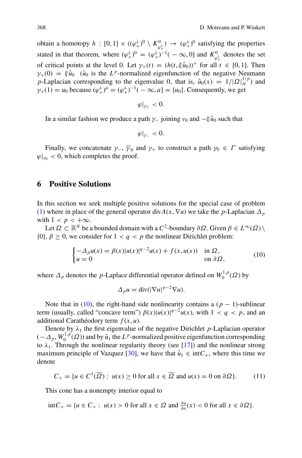<span id="page-11-0"></span>obtain a homotopy  $h : [0, 1] \times ((\varphi^{\lambda}_{+})^0 \setminus K^0_{\varphi^{\lambda}_{+}}) \to (\varphi^{\lambda}_{+})^0$  satisfying the properties stated in that theorem, where  $(\varphi_+^{\lambda})^0 = (\varphi_+^{\lambda})^{-1}(-\infty, 0]$  and  $K_{\varphi_+^{\lambda}}^0$  denotes the set of critical points at the level 0. Let  $\gamma_+(t) = (h(t, \xi \hat{u}_0))^+$  for all  $t \in [0, 1]$ . Then  $\gamma_{+}(0) = \xi \hat{u}_0$  ( $\hat{u}_0$  is the *L<sup>p</sup>*-normalized eigenfunction of the negative Neumann *p*-Laplacian corresponding to the eigenvalue 0, that is,  $\hat{u}_0(x) = 1/|\Omega|_N^{1/p}$  and  $\gamma_+(1) = u_0$  because  $(\varphi_+^{\lambda})^a = (\varphi_+^{\lambda})^{-1}(-\infty, a] = \{u_0\}$ . Consequently, we get

$$
\varphi|_{\gamma_+}<0.
$$

In a similar fashion we produce a path  $\gamma$ <sub>−</sub> joining  $\nu_0$  and  $-\xi \hat{u}_0$  such that

$$
\varphi|_{\gamma_-}<0.
$$

Finally, we concatenate  $\gamma_-, \overline{\gamma}_0$  and  $\gamma_+$  to construct a path  $\gamma_0 \in \Gamma$  satisfying  $\varphi|_{\gamma_0}$  < 0, which completes the proof.

#### **6 Positive Solutions**

In this section we seek multiple positive solutions for the special case of problem (1) where in place of the general operator div $A(x, \nabla u)$  we take the *p*-Laplacian  $\Delta_p$ with  $1 < p < +\infty$ .

Let  $\Omega \subset \mathbb{R}^N$  be a bounded domain with a  $C^2$ -boundary  $\partial \Omega$ . Given  $\beta \in L^{\infty}(\Omega) \setminus$  $\{0\}, \beta \geq 0$ , we consider for  $1 < q < p$  the nonlinear Dirichlet problem:

$$
\begin{cases}\n-\Delta_p u(x) = \beta(x)|u(x)|^{q-2}u(x) + f(x, u(x)) & \text{in } \Omega, \\
u = 0 & \text{on } \partial\Omega,\n\end{cases}
$$
\n(10)

where  $\Delta_p$  denotes the *p*-Laplace differential operator defined on  $W_0^{1,p}(\Omega)$  by

$$
\Delta_p u = \operatorname{div}(|\nabla u|^{p-2} \nabla u).
$$

Note that in (10), the right-hand side nonlinearity contains a  $(p - 1)$ -sublinear term (usually, called "concave term")  $\beta(x)|u(x)|^{q-2}u(x)$ , with  $1 < q < p$ , and an additional Carathéodory term *f* (*x*, *u*).

Denote by  $\lambda_1$  the first eigenvalue of the negative Dirichlet *p*-Laplacian operator  $(-\Delta_p, W_0^{1,p}(\Omega))$  and by  $\hat{u}_1$  the *L*<sup>*p*</sup>-normalized positive eigenfunction corresponding to  $\lambda_1$ . Through the nonlinear regularity theory (see [\[17\]](#page-22-0)) and the nonlinear strong maximum principle of Vazquez [\[30\]](#page-22-0), we have that  $\hat{u}_1 \in \text{int}C_+$ , where this time we denote

$$
C_{+} = \{ u \in C^{1}(\overline{\Omega}) : u(x) \ge 0 \text{ for all } x \in \overline{\Omega} \text{ and } u(x) = 0 \text{ on } \partial \Omega \}. \tag{11}
$$

This cone has a nonempty interior equal to

int $C_+$  = {*u* ∈ *C*<sub>+</sub> : *u*(*x*) > 0 for all *x* ∈ *Ω* and  $\frac{\partial u}{\partial n}(x)$  < 0 for all *x* ∈  $\partial \Omega$ }*.*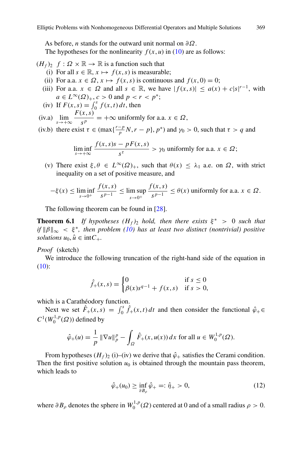As before, *n* stands for the outward unit normal on *∂Ω*.

The hypotheses for the nonlinearity  $f(x, u)$  in (10) are as follows:

 $(H_f)_2$   $f: \Omega \times \mathbb{R} \to \mathbb{R}$  is a function such that

- (i) For all  $s \in \mathbb{R}$ ,  $x \mapsto f(x, s)$  is measurable;
- (ii) For a.a.  $x \in \Omega$ ,  $x \mapsto f(x, s)$  is continuous and  $f(x, 0) = 0$ ;
- (iii) For a.a.  $x \in \Omega$  and all  $s \in \mathbb{R}$ , we have  $|f(x, s)| \le a(x) + c|s|^{r-1}$ , with *a* ∈ *L*<sup>∞</sup>( $\Omega$ )<sub>+</sub>, *c* > 0 and *p* < *r* < *p*<sup>\*</sup>;
- (iv) If  $F(x, s) = \int_0^s f(x, t) dt$ , then
- $\lim_{s \to +\infty} \frac{F(x, s)}{s^p} = +\infty$  uniformly for a.a.  $x \in \Omega$ ,

(iv.b) there exist 
$$
\tau \in (\max\{\frac{r-p}{p}N, r-p\}, p^*)
$$
 and  $\gamma_0 > 0$ , such that  $\tau > q$  and

$$
\liminf_{s \to +\infty} \frac{f(x,s)s - pF(x,s)}{s^{\tau}} > \gamma_0 \text{ uniformly for a.a. } x \in \Omega;
$$

(v) There exist  $\xi, \theta \in L^{\infty}(\Omega)_{+}$ , such that  $\theta(x) \leq \lambda_1$  a.e. on  $\Omega$ , with strict inequality on a set of positive measure, and

$$
-\xi(x) \le \liminf_{s \to 0^+} \frac{f(x,s)}{s^{p-1}} \le \limsup_{s \to 0^+} \frac{f(x,s)}{s^{p-1}} \le \theta(x) \text{ uniformly for a.a. } x \in \Omega.
$$

The following theorem can be found in [\[28](#page-22-0)].

**Theorem 6.1** *If hypotheses*  $(H_f)$  *hold, then there exists*  $\xi^*$  > 0 *such that*  $if ||\beta||_{\infty} < \xi^*$ , then problem (10) has at least two distinct (nontrivial) positive *solutions*  $u_0, \hat{u} \in \text{int}C_+$ .

#### *Proof* (sketch)

We introduce the following truncation of the right-hand side of the equation in (10):

$$
\hat{f}_+(x,s) = \begin{cases} 0 & \text{if } s \le 0\\ \beta(x)s^{q-1} + f(x,s) & \text{if } s > 0, \end{cases}
$$

which is a Carathéodory function.

Next we set  $\hat{F}_+(x,s) = \int_0^s \hat{f}_+(x,t) dt$  and then consider the functional  $\hat{\varphi}_+ \in$  $C^1(W_0^{1,p}(\Omega))$  defined by

$$
\hat{\varphi}_+(u) = \frac{1}{p} \|\nabla u\|_p^p - \int_{\Omega} \hat{F}_+(x, u(x)) dx \text{ for all } u \in W_0^{1,p}(\Omega).
$$

From hypotheses  $(H_f)_2$  (i)–(iv) we derive that  $\hat{\varphi}_+$  satisfies the Cerami condition. Then the first positive solution  $u_0$  is obtained through the mountain pass theorem, which leads to

$$
\hat{\varphi}_+(u_0) \ge \inf_{\partial B_\rho} \hat{\varphi}_+ =: \hat{\eta}_+ > 0,\tag{12}
$$

where  $\partial B_{\rho}$  denotes the sphere in  $W_0^{1,p}(\Omega)$  centered at 0 and of a small radius  $\rho > 0$ .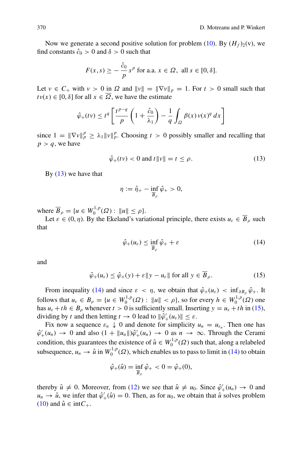Now we generate a second positive solution for problem (10). By  $(H_f)_2(v)$ , we find constants  $\hat{c}_0 > 0$  and  $\delta > 0$  such that

$$
F(x,s) \ge -\frac{\hat{c}_0}{p} s^p \text{ for a.a. } x \in \Omega, \text{ all } s \in [0,\delta].
$$

Let  $v \in C_+$  with  $v > 0$  in  $\Omega$  and  $||v|| = ||\nabla v||_p = 1$ . For  $t > 0$  small such that  $t v(x) \in [0, \delta]$  for all  $x \in \overline{\Omega}$ , we have the estimate

$$
\hat{\varphi}_+(tv) \le t^q \left[ \frac{t^{p-q}}{p} \left( 1 + \frac{\hat{c}_0}{\lambda_1} \right) - \frac{1}{q} \int_{\Omega} \beta(x) \, v(x)^q \, dx \right]
$$

since  $1 = \|\nabla v\|_p^p \ge \lambda_1 \|v\|_p^p$ . Choosing  $t > 0$  possibly smaller and recalling that  $p > q$ , we have

$$
\hat{\varphi}_+(t\mathbf{v}) < 0 \text{ and } t\|\mathbf{v}\| = t \leq \rho. \tag{13}
$$

By  $(13)$  we have that

$$
\eta:=\hat{\eta}_+-\inf_{\overline{B}_{\rho}}\hat{\varphi}_+>0,
$$

where  $\overline{B}_{\rho} = \{u \in W_0^{1,p}(\Omega) : ||u|| \le \rho\}.$ 

Let  $\varepsilon \in (0, \eta)$ . By the Ekeland's variational principle, there exists  $u_{\varepsilon} \in \overline{B}_\rho$  such that

$$
\hat{\varphi}_{+}(u_{\varepsilon}) \le \inf_{\overline{B}_{\rho}} \hat{\varphi}_{+} + \varepsilon \tag{14}
$$

and

$$
\hat{\varphi}_+(u_{\varepsilon}) \le \hat{\varphi}_+(y) + \varepsilon \|y - u_{\varepsilon}\| \text{ for all } y \in B_{\rho}.
$$
 (15)

From inequality (14) and since  $\varepsilon < \eta$ , we obtain that  $\hat{\varphi}_+(u_\varepsilon) < \inf_{\partial B_\rho} \hat{\varphi}_+$ . It follows that  $u_{\varepsilon} \in B_{\rho} = \{u \in W_0^{1,p}(\Omega) : ||u|| < \rho\}$ , so for every  $h \in W_0^{1,p}(\Omega)$  one has  $u_{\varepsilon} + th \in B_{\rho}$  whenever  $t > 0$  is sufficiently small. Inserting  $y = u_{\varepsilon} + th$  in (15), dividing by *t* and then letting  $t \to 0$  lead to  $\|\hat{\varphi}'_+(u_\varepsilon)\| \leq \varepsilon$ .

Fix now a sequence  $\varepsilon_n \downarrow 0$  and denote for simplicity  $u_n = u_{\varepsilon_n}$ . Then one has  $\hat{\varphi}'_+(u_n) \to 0$  and also  $(1 + ||u_n||)\hat{\varphi}'_+(u_n) \to 0$  as  $n \to \infty$ . Through the Cerami condition, this guarantees the existence of  $\hat{u} \in W_0^{1,p}(\Omega)$  such that, along a relabeled subsequence,  $u_n \to \hat{u}$  in  $W_0^{1,p}(\Omega)$ , which enables us to pass to limit in (14) to obtain

$$
\hat{\varphi}_{+}(\hat{u}) = \inf_{\overline{B}_{\rho}} \hat{\varphi}_{+} < 0 = \hat{\varphi}_{+}(0),
$$

thereby  $\hat{u} \neq 0$ . Moreover, from (12) we see that  $\hat{u} \neq u_0$ . Since  $\hat{\varphi}'_+(u_n) \to 0$  and  $u_n \to \hat{u}$ , we infer that  $\hat{\varphi}'_+(\hat{u}) = 0$ . Then, as for  $u_0$ , we obtain that  $\hat{u}$  solves problem (10) and  $\hat{u} \in \text{int}C_+$ .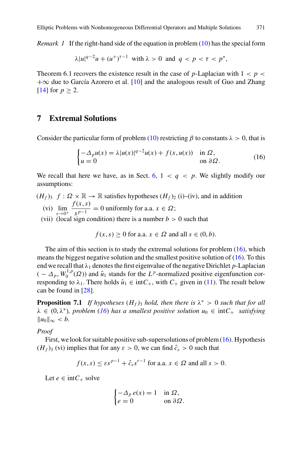<span id="page-14-0"></span>*Remark 1* If the right-hand side of the equation in problem (10) has the special form

$$
\lambda |u|^{q-2}u + (u^+)^{\tau-1} \text{ with } \lambda > 0 \text{ and } q < p < \tau < p^*,
$$

Theorem 6.1 recovers the existence result in the case of *p*-Laplacian with  $1 < p <$ +∞ due to García Azorero et al. [\[10\]](#page-21-0) and the analogous result of Guo and Zhang [\[14](#page-21-0)] for  $p > 2$ .

#### **7 Extremal Solutions**

Consider the particular form of problem (10) restricting  $\beta$  to constants  $\lambda > 0$ , that is

$$
\begin{cases}\n-\Delta_p u(x) = \lambda |u(x)|^{q-2} u(x) + f(x, u(x)) & \text{in } \Omega, \\
u = 0 & \text{on } \partial \Omega.\n\end{cases}
$$
\n(16)

We recall that here we have, as in Sect. [6,](#page-11-0)  $1 < q < p$ . We slightly modify our assumptions:

- $(H_f)$ <sub>3</sub>  $f: \Omega \times \mathbb{R} \to \mathbb{R}$  satisfies hypotheses  $(H_f)_2$  (i)–(iv), and in addition (vi)  $\lim_{s \to 0^+} \frac{f(x, s)}{s^{p-1}} = 0$  uniformly for a.a.  $x \in \Omega$ ;
	- (vii) (local sign condition) there is a number  $b > 0$  such that

$$
f(x, s) \ge 0
$$
 for a.a.  $x \in \Omega$  and all  $s \in (0, b)$ .

The aim of this section is to study the extremal solutions for problem  $(16)$ , which means the biggest negative solution and the smallest positive solution of  $(16)$ . To this end we recall that  $\lambda_1$  denotes the first eigenvalue of the negative Dirichlet *p*-Laplacian  $(-\Delta_p, W_0^{1,p}(\Omega))$  and  $\hat{u}_1$  stands for the *L<sup>p</sup>*-normalized positive eigenfunction corresponding to  $\lambda_1$ . There holds  $\hat{u}_1 \in \text{int}C_+$ , with  $C_+$  given in (11). The result below can be found in [\[28](#page-22-0)].

**Proposition 7.1** *If hypotheses*  $(H_f)$ <sub>3</sub> *hold, then there is*  $\lambda^* > 0$  *such that for all*  $\lambda \in (0, \lambda^*)$ *, problem* (16) has a smallest positive solution  $u_0 \in \text{int}C_+$  satisfying  $||u_0||_{\infty} < b.$ 

*Proof*

First, we look for suitable positive sub-supersolutions of problem (16). Hypothesis  $(H_f)$ <sub>3</sub> (vi) implies that for any  $\varepsilon > 0$ , we can find  $\hat{c}_{\varepsilon} > 0$  such that

$$
f(x, s) \le \varepsilon s^{p-1} + \hat{c}_{\varepsilon} s^{r-1}
$$
 for a.a.  $x \in \Omega$  and all  $s > 0$ .

Let  $e \in \text{int}C_+$  solve

$$
\begin{cases}\n-\Delta_p e(x) = 1 & \text{in } \Omega, \\
e = 0 & \text{on } \partial \Omega.\n\end{cases}
$$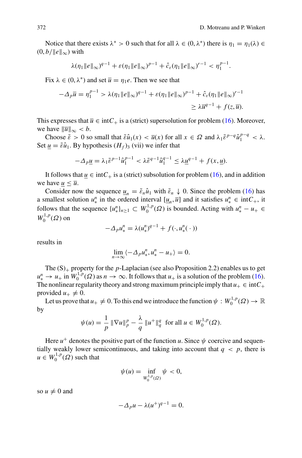Notice that there exists  $\lambda^* > 0$  such that for all  $\lambda \in (0, \lambda^*)$  there is  $\eta_1 = \eta_1(\lambda) \in$  $(0, b/||e||_{\infty})$  with

$$
\lambda(\eta_1 \|e\|_{\infty})^{q-1} + \varepsilon(\eta_1 \|e\|_{\infty})^{p-1} + \hat{c}_{\varepsilon}(\eta_1 \|e\|_{\infty})^{r-1} < \eta_1^{p-1}.
$$

Fix  $\lambda \in (0, \lambda^*)$  and set  $\overline{u} = \eta_1 e$ . Then we see that

$$
-\Delta_p \overline{u} = \eta_1^{p-1} > \lambda(\eta_1 \|e\|_{\infty})^{q-1} + \varepsilon(\eta_1 \|e\|_{\infty})^{p-1} + \hat{c}_{\varepsilon}(\eta_1 \|e\|_{\infty})^{r-1}
$$
  

$$
\geq \lambda \overline{u}^{q-1} + f(z, \overline{u}).
$$

This expresses that  $\overline{u} \in \text{int}C_+$  is a (strict) supersolution for problem (16). Moreover, we have  $\|\overline{u}\|_{\infty} < b$ .

Choose  $\tilde{\varepsilon} > 0$  so small that  $\tilde{\varepsilon} \hat{u}_1(x) < \bar{u}(x)$  for all  $x \in \Omega$  and  $\lambda_1 \tilde{\varepsilon}^{p-q} \hat{u}_1^{p-q} < \lambda$ . Set  $u = \tilde{\epsilon} \hat{u}_1$ . By hypothesis  $(H_f)$ <sub>3</sub> (vii) we infer that

$$
-\Delta_p \underline{u} = \lambda_1 \tilde{\varepsilon}^{p-1} \hat{u}_1^{p-1} < \lambda \tilde{\varepsilon}^{q-1} \hat{u}_1^{q-1} \le \lambda \underline{u}^{q-1} + f(x, \underline{u}).
$$

It follows that  $u \in \text{int}C_+$  is a (strict) subsolution for problem (16), and in addition we have  $u \leq \overline{u}$ .

Consider now the sequence  $u_n = \tilde{\varepsilon}_n \hat{u}_1$  with  $\tilde{\varepsilon}_n \downarrow 0$ . Since the problem (16) has a smallest solution  $u^n_*$  in the ordered interval  $[\underline{u}_n, \overline{u}]$  and it satisfies  $u^n_* \in \text{int}C_+$ , it follows that the sequence  $\{u_*^n\}_{n\geq 1} \subset W_0^{1,p}(\Omega)$  is bounded. Acting with  $u_*^n - u_+ \in$  $W_0^{1,p}(\Omega)$  on

$$
-\Delta_p u^n_* = \lambda (u^n_*)^{q-1} + f(\cdot, u^n_*(\cdot))
$$

results in

$$
\lim_{n\to\infty}\langle -\Delta_p u^n_*, u^n_* - u_+ \rangle = 0.
$$

The  $(S)$ <sub>+</sub> property for the *p*-Laplacian (see also Proposition 2.2) enables us to get  $u_*^n \to u_+$  in  $W_0^{1,p}(\Omega)$  as  $n \to \infty$ . It follows that  $u_+$  is a solution of the problem (16). The nonlinear regularity theory and strong maximum principle imply that  $u_+ \in \text{int}C_+$ provided  $u_+ \neq 0$ .

Let us prove that  $u_+ \neq 0$ . To this end we introduce the function  $\psi: W_0^{1,p}(\Omega) \to \mathbb{R}$ by

$$
\psi(u) = \frac{1}{p} \|\nabla u\|_p^p - \frac{\lambda}{q} \|u^+\|_q^q \text{ for all } u \in W_0^{1,p}(\Omega).
$$

Here  $u^+$  denotes the positive part of the function *u*. Since  $\psi$  coercive and sequentially weakly lower semicontinuous, and taking into account that  $q < p$ , there is  $u \in W_0^{1,p}(\Omega)$  such that

$$
\psi(u) = \inf_{W_0^{1,p}(\Omega)} \psi < 0,
$$

so  $u \neq 0$  and

$$
-\Delta_p u - \lambda (u^+)^{q-1} = 0.
$$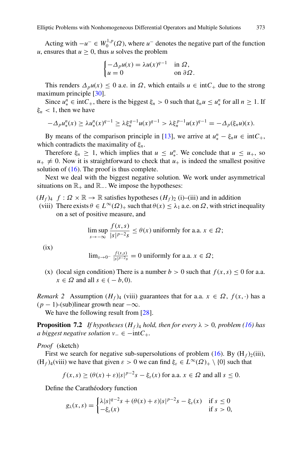Acting with  $-u^- \in W_0^{1,p}(\Omega)$ , where  $u^-$  denotes the negative part of the function *u*, ensures that  $u \geq 0$ , thus *u* solves the problem

$$
\begin{cases}\n-\Delta_p u(x) = \lambda u(x)^{q-1} & \text{in } \Omega, \\
u = 0 & \text{on } \partial \Omega.\n\end{cases}
$$

This renders  $\Delta_p u(x) \leq 0$  a.e. in  $\Omega$ , which entails  $u \in \text{int}C_+$  due to the strong maximum principle [\[30\]](#page-22-0).

Since  $u_*^n \in \text{int}C_+$ , there is the biggest  $\xi_n > 0$  such that  $\xi_n u \le u_*^n$  for all  $n \ge 1$ . If  $\xi_n$  < 1, then we have

$$
-\Delta_p u_*^n(x) \ge \lambda u_*^n(x)^{q-1} \ge \lambda \xi_n^{q-1} u(x)^{q-1} > \lambda \xi_n^{p-1} u(x)^{q-1} = -\Delta_p(\xi_n u)(x).
$$

By means of the comparison principle in [\[13\]](#page-21-0), we arrive at  $u_*^n - \xi_n u \in \text{int}C_+$ , which contradicts the maximality of *ξn*.

Therefore  $\xi_n \geq 1$ , which implies that  $u \leq u^n$ . We conclude that  $u \leq u_+$ , so  $u_{+} \neq 0$ . Now it is straightforward to check that  $u_{+}$  is indeed the smallest positive solution of  $(16)$ . The proof is thus complete.

Next we deal with the biggest negative solution. We work under asymmetrical situations on  $\mathbb{R}_+$  and  $\mathbb{R}_-$ . We impose the hypotheses:

- $(H_f)_{4}$   $f: \Omega \times \mathbb{R} \to \mathbb{R}$  satisfies hypotheses  $(H_f)_{2}$  (i)–(iii) and in addition
	- (viii) There exists  $\theta \in L^{\infty}(\Omega)_{+}$  such that  $\theta(x) \leq \lambda_1$  a.e. on  $\Omega$ , with strict inequality on a set of positive measure, and

$$
\limsup_{s \to -\infty} \frac{f(x, s)}{|s|^{p-2} s} \le \theta(x) \text{ uniformly for a.a. } x \in \Omega;
$$

 $(ix)$ 

$$
\lim_{s \to 0^-} \frac{f(x,s)}{|s|^{p-2}s} = 0 \text{ uniformly for a.a. } x \in \Omega;
$$

(x) (local sign condition) There is a number  $b > 0$  such that  $f(x, s) \le 0$  for a.a.  $x \in \Omega$  and all  $s \in (-b, 0)$ .

*Remark 2* Assumption  $(H_f)$ <sub>4</sub> (viii) guarantees that for a.a.  $x \in \Omega$ ,  $f(x, \cdot)$  has a  $(p-1)$ -(sub)linear growth near  $-\infty$ .

We have the following result from [\[28](#page-22-0)].

**Proposition 7.2** *If hypotheses*  $(H_f)$ <sub>4</sub> *hold, then for every*  $\lambda > 0$ *, problem* (16) *has a biggest negative solution*  $v_$  ∈ −int $C_+$ .

*Proof* (sketch)

First we search for negative sub-supersolutions of problem  $(16)$ . By  $(H_f)_2(iii)$ , (H<sub>f</sub>)<sub>4</sub>(viii) we have that given  $\varepsilon > 0$  we can find  $\xi_{\varepsilon} \in L^{\infty}(\Omega)_{+} \setminus \{0\}$  such that

$$
f(x, s) \ge (\theta(x) + \varepsilon)|s|^{p-2}s - \xi_{\varepsilon}(x)
$$
 for a.a.  $x \in \Omega$  and all  $s \le 0$ .

Define the Carathéodory function

$$
g_{\lambda}(x,s) = \begin{cases} \lambda |s|^{q-2}s + (\theta(x) + \varepsilon)|s|^{p-2}s - \xi_{\varepsilon}(x) & \text{if } s \le 0\\ -\xi_{\varepsilon}(x) & \text{if } s > 0, \end{cases}
$$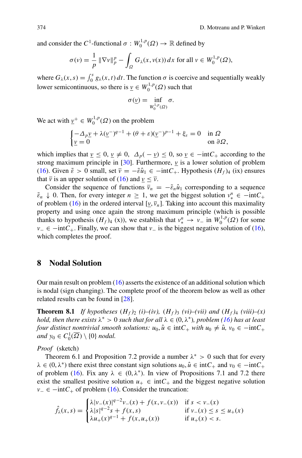<span id="page-17-0"></span>and consider the  $C^1$ -functional  $\sigma: W_0^{1,p}(\Omega) \to \mathbb{R}$  defined by

$$
\sigma(v) = \frac{1}{p} \|\nabla v\|_p^p - \int_{\Omega} G_{\lambda}(x, v(x)) dx \text{ for all } v \in W_0^{1, p}(\Omega),
$$

where  $G_{\lambda}(x, s) = \int_0^s g_{\lambda}(x, t) dt$ . The function  $\sigma$  is coercive and sequentially weakly lower semicontinuous, so there is  $\underline{v} \in W_0^{1,p}(\Omega)$  such that

$$
\sigma(\underline{v}) = \inf_{W_0^{1,p}(\Omega)} \sigma.
$$

We act with  $\underline{v}^+ \in W_0^{1,p}(\Omega)$  on the problem

$$
\begin{cases}\n-\Delta_p \underline{v} + \lambda (\underline{v}^-)^{q-1} + (\theta + \varepsilon)(\underline{v}^-)^{p-1} + \xi_{\varepsilon} = 0 & \text{in } \Omega \\
\underline{v} = 0 & \text{on } \partial \Omega,\n\end{cases}
$$

which implies that  $\underline{v} \leq 0$ ,  $\underline{v} \neq 0$ ,  $\Delta_p(-\underline{v}) \leq 0$ , so  $\underline{v} \in -intC_+$  according to the strong maximum principle in  $[30]$ . Furthermore,  $\nu$  is a lower solution of problem (16). Given  $\tilde{\varepsilon} > 0$  small, set  $\overline{v} = -\tilde{\varepsilon} \hat{u}_1 \in -\text{int}C_+$ . Hypothesis  $(H_f)_4$  (ix) ensures that  $\bar{v}$  is an upper solution of (16) and  $v \leq \bar{v}$ .

Consider the sequence of functions  $\bar{v}_n = -\tilde{\epsilon}_n \hat{u}_1$  corresponding to a sequence  $\tilde{\varepsilon}_n$   $\downarrow$  0. Then, for every integer  $n \geq 1$ , we get the biggest solution  $v^n_* \in -\text{int}C_+$ of problem (16) in the ordered interval  $[\nu, \overline{\nu}_n]$ . Taking into account this maximality property and using once again the strong maximum principle (which is possible thanks to hypothesis  $(H_f)_{4}(x)$ , we establish that  $v_*^n \to v_-$  in  $W_0^{1,p}(\Omega)$  for some *v*− ∈ −int $C_+$ . Finally, we can show that *v*− is the biggest negative solution of (16), which completes the proof.

#### **8 Nodal Solution**

Our main result on problem  $(16)$  asserts the existence of an additional solution which is nodal (sign changing). The complete proof of the theorem below as well as other related results can be found in [\[28](#page-22-0)].

**Theorem 8.1** *If hypotheses*  $(H_f)_2$  (*i*)–(*iv),*  $(H_f)_3$  (*vi*)–(*vii)* and  $(H_f)_4$  (*viii*)–(*x*) *hold, then there exists*  $\lambda^* > 0$  *such that for all*  $\lambda \in (0, \lambda^*)$ *, problem* (16) has at least *four distinct nontrivial smooth solutions:*  $u_0$ ,  $\hat{u} \in \text{int}C_+$  *with*  $u_0 \neq \hat{u}$ ,  $v_0 \in -\text{int}C_+$ *and*  $y_0 \in C_0^1(\overline{\Omega}) \setminus \{0\}$  *nodal.* 

*Proof* (sketch)

Theorem 6.1 and Proposition 7.2 provide a number  $\lambda^* > 0$  such that for every  $\lambda \in (0, \lambda^*)$  there exist three constant sign solutions  $u_0, \hat{u} \in \text{int}C_+$  and  $v_0 \in -\text{int}C_+$ of problem (16). Fix any  $\lambda \in (0, \lambda^*)$ . In view of Propositions 7.1 and 7.2 there exist the smallest positive solution  $u_+ \in \text{int}C_+$  and the biggest negative solution  $v_-\in$  −int $C_+$  of problem (16). Consider the truncation:

$$
\hat{f}_{\lambda}(x,s) = \begin{cases}\n\lambda |v_{-}(x)|^{q-2}v_{-}(x) + f(x,v_{-}(x)) & \text{if } s < v_{-}(x) \\
\lambda |s|^{q-2}s + f(x,s) & \text{if } v_{-}(x) \le s \le u_{+}(x) \\
\lambda u_{+}(x)^{q-1} + f(x,u_{+}(x)) & \text{if } u_{+}(x) < s.\n\end{cases}
$$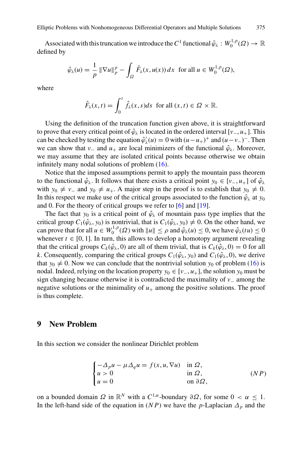<span id="page-18-0"></span>Associated with this truncation we introduce the  $C^1$  functional  $\hat{\varphi}_\lambda : W_0^{1,p}(\Omega) \to \mathbb{R}$ defined by

$$
\hat{\varphi}_{\lambda}(u) = \frac{1}{p} \|\nabla u\|_{p}^{p} - \int_{\Omega} \hat{F}_{\lambda}(x, u(x)) dx \text{ for all } u \in W_{0}^{1, p}(\Omega),
$$

where

$$
\hat{F}_{\lambda}(x,t) = \int_0^t \hat{f}_{\lambda}(x,s)ds \text{ for all } (x,t) \in \Omega \times \mathbb{R}.
$$

Using the definition of the truncation function given above, it is straightforward to prove that every critical point of  $\hat{\varphi}_{\lambda}$  is located in the ordered interval [*v*<sub>−</sub>, *u*<sub>+</sub>]. This can be checked by testing the equation  $\hat{\varphi}'_{\lambda}(u) = 0$  with  $(u - u_{+})^{+}$  and  $(u - v_{-})^{-}$ . Then we can show that *v*<sub>−</sub> and *u*<sub>+</sub> are local minimizers of the functional  $\hat{\varphi}_{\lambda}$ . Moreover, we may assume that they are isolated critical points because otherwise we obtain infinitely many nodal solutions of problem (16).

Notice that the imposed assumptions permit to apply the mountain pass theorem to the functional  $\hat{\varphi}_{\lambda}$ . It follows that there exists a critical point  $y_0 \in [\nu_-, u_+]$  of  $\hat{\varphi}_{\lambda}$ with *y*<sub>0</sub>  $\neq$  *v*<sub>−</sub> and *y*<sub>0</sub>  $\neq$  *u*<sub>+</sub>. A major step in the proof is to establish that *y*<sub>0</sub>  $\neq$  0. In this respect we make use of the critical groups associated to the function  $\hat{\varphi}_{\lambda}$  at  $y_0$ and 0. For the theory of critical groups we refer to [\[6](#page-21-0)] and [\[19](#page-22-0)].

The fact that  $y_0$  is a critical point of  $\hat{\varphi}_{\lambda}$  of mountain pass type implies that the critical group  $C_1(\hat{\varphi}_\lambda, y_0)$  is nontrivial, that is  $C_1(\hat{\varphi}_\lambda, y_0) \neq 0$ . On the other hand, we can prove that for all  $u \in W_0^{1,p}(\Omega)$  with  $||u|| \le \rho$  and  $\hat{\varphi}_\lambda(u) \le 0$ , we have  $\hat{\varphi}_\lambda(tu) \le 0$ whenever  $t \in [0, 1]$ . In turn, this allows to develop a homotopy argument revealing that the critical groups  $C_k(\hat{\varphi}_\lambda, 0)$  are all of them trivial, that is  $C_k(\hat{\varphi}_\lambda, 0) = 0$  for all *k*. Consequently, comparing the critical groups  $C_1(\hat{\varphi}_\lambda, y_0)$  and  $C_1(\hat{\varphi}_\lambda, 0)$ , we derive that  $y_0 \neq 0$ . Now we can conclude that the nontrivial solution  $y_0$  of problem (16) is nodal. Indeed, relying on the location property  $y_0 \in [v_-, u_+]$ , the solution  $y_0$  must be sign changing because otherwise it is contradicted the maximality of *v*<sup>−</sup> among the negative solutions or the minimality of  $u_+$  among the positive solutions. The proof is thus complete.

#### **9 New Problem**

In this section we consider the nonlinear Dirichlet problem

$$
\begin{cases}\n-\Delta_p u - \mu \Delta_q u = f(x, u, \nabla u) & \text{in } \Omega, \\
u > 0 & \text{in } \Omega, \\
u = 0 & \text{on } \partial \Omega,\n\end{cases}
$$
\n
$$
(NP)
$$

on a bounded domain  $\Omega$  in  $\mathbb{R}^N$  with a  $C^{1,\alpha}$ -boundary  $\partial\Omega$ , for some  $0 < \alpha \leq 1$ . In the left-hand side of the equation in  $(NP)$  we have the *p*-Laplacian  $\Delta_p$  and the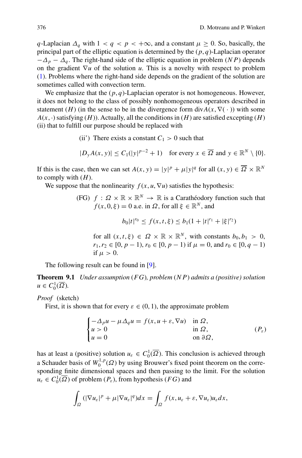*q*-Laplacian  $\Delta_q$  with  $1 < q < p < +\infty$ , and a constant  $\mu \geq 0$ . So, basically, the principal part of the elliptic equation is determined by the (*p*, *q*)-Laplacian operator  $-\Delta_p - \Delta_q$ . The right-hand side of the elliptic equation in problem (*NP*) depends on the gradient ∇*u* of the solution *u*. This is a novelty with respect to problem (1). Problems where the right-hand side depends on the gradient of the solution are sometimes called with convection term.

We emphasize that the (*p*, *q*)-Laplacian operator is not homogeneous. However, it does not belong to the class of possibly nonhomogeneous operators described in statement (*H*) (in the sense to be in the divergence form div $A(x, \nabla( \cdot))$  with some  $A(x, \cdot)$  satisfying  $(H)$ ). Actually, all the conditions in  $(H)$  are satisfied excepting  $(H)$ (ii) that to fulfill our purpose should be replaced with

(ii) There exists a constant  $C_1 > 0$  such that

$$
|D_y A(x, y)| \le C_1 (|y|^{p-2} + 1) \quad \text{for every } x \in \overline{\Omega} \text{ and } y \in \mathbb{R}^N \setminus \{0\}.
$$

If this is the case, then we can set  $A(x, y) = |y|^p + \mu |y|^q$  for all  $(x, y) \in \overline{\Omega} \times \mathbb{R}^N$ to comply with  $(H)$ .

We suppose that the nonlinearity  $f(x, u, \nabla u)$  satisfies the hypothesis:

(FG)  $f : \Omega \times \mathbb{R} \times \mathbb{R}^N \to \mathbb{R}$  is a Carathéodory function such that  $f(x, 0, \xi) = 0$  a.e. in  $\Omega$ , for all  $\xi \in \mathbb{R}^N$ , and

$$
b_0|t|^{r_0} \le f(x,t,\xi) \le b_1(1+|t|^{r_1}+|\xi|^{r_2})
$$

for all  $(x, t, \xi) \in \Omega \times \mathbb{R} \times \mathbb{R}^N$ , with constants  $b_0, b_1 > 0$ ,  $r_1, r_2 \in [0, p - 1), r_0 \in [0, p - 1)$  if  $\mu = 0$ , and  $r_0 \in [0, q - 1)$ if  $\mu > 0$ .

The following result can be found in [\[9\]](#page-21-0).

**Theorem 9.1** *Under assumption* (*FG*)*, problem* (*NP*) *admits a (positive) solution*  $u \in C_0^1(\overline{\Omega}).$ 

*Proof* (sketch)

First, it is shown that for every  $\varepsilon \in (0, 1)$ , the approximate problem

$$
\begin{cases}\n-\Delta_p u - \mu \Delta_q u = f(x, u + \varepsilon, \nabla u) & \text{in } \Omega, \\
u > 0 & \text{in } \Omega, \\
u = 0 & \text{on } \partial \Omega,\n\end{cases} (P_{\varepsilon})
$$

has at least a (positive) solution  $u_{\varepsilon} \in C_0^1(\overline{\Omega})$ . This conclusion is achieved through a Schauder basis of  $W_0^{1,p}(\Omega)$  by using Brouwer's fixed point theorem on the corresponding finite dimensional spaces and then passing to the limit. For the solution  $u_{\varepsilon} \in C_0^1(\overline{\Omega})$  of problem  $(P_{\varepsilon})$ , from hypothesis  $(FG)$  and

$$
\int_{\Omega} \left( |\nabla u_{\varepsilon}|^p + \mu |\nabla u_{\varepsilon}|^q \right) dx = \int_{\Omega} f(x, u_{\varepsilon} + \varepsilon, \nabla u_{\varepsilon}) u_{\varepsilon} dx,
$$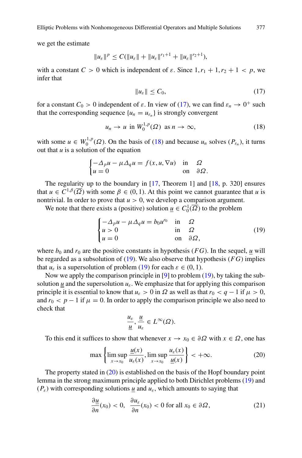we get the estimate

$$
||u_{\varepsilon}||^{p} \leq C(||u_{\varepsilon}|| + ||u_{\varepsilon}||^{r_{1}+1} + ||u_{\varepsilon}||^{r_{2}+1}),
$$

with a constant  $C > 0$  which is independent of  $\varepsilon$ . Since  $1, r_1 + 1, r_2 + 1 < p$ , we infer that

$$
||u_{\varepsilon}|| \leq C_0,\tag{17}
$$

for a constant  $C_0 > 0$  independent of  $\varepsilon$ . In view of (17), we can find  $\varepsilon_n \to 0^+$  such that the corresponding sequence  $\{u_n = u_{\varepsilon_n}\}\$ is strongly convergent

$$
u_n \to u \text{ in } W_0^{1,p}(\Omega) \text{ as } n \to \infty,
$$
 (18)

with some  $u \in W_0^{1,p}(\Omega)$ . On the basis of (18) and because  $u_n$  solves  $(P_{\varepsilon_n})$ , it turns out that *u* is a solution of the equation

$$
\begin{cases}\n-\Delta_p u - \mu \Delta_q u = f(x, u, \nabla u) & \text{in} \quad \Omega \\
u = 0 & \text{on} \quad \partial \Omega.\n\end{cases}
$$

The regularity up to the boundary in [\[17](#page-22-0), Theorem 1] and [\[18](#page-22-0), p. 320] ensures that  $u \in C^{1,\beta}(\overline{\Omega})$  with some  $\beta \in (0,1)$ . At this point we cannot guarantee that *u* is nontrivial. In order to prove that  $u > 0$ , we develop a comparison argument.

We note that there exists a (positive) solution  $\underline{u} \in C_0^1(\overline{\Omega})$  to the problem

$$
\begin{cases}\n-\Delta_p u - \mu \Delta_q u = b_0 u^{r_0} & \text{in} \quad \Omega \\
u > 0 & \text{in} \quad \Omega \\
u = 0 & \text{on} \quad \partial \Omega,\n\end{cases}
$$
\n(19)

where  $b_0$  and  $r_0$  are the positive constants in hypothesis (*FG*). In the sequel, <u>*u*</u> will be regarded as a subsolution of (19). We also observe that hypothesis (*FG*) implies that  $u_{\varepsilon}$  is a supersolution of problem (19) for each  $\varepsilon \in (0, 1)$ .

Now we apply the comparison principle in [\[9](#page-21-0)] to problem (19), by taking the subsolution *u* and the supersolution  $u_{\varepsilon}$ . We emphasize that for applying this comparison principle it is essential to know that  $u_{\varepsilon} > 0$  in  $\Omega$  as well as that  $r_0 < q - 1$  if  $\mu > 0$ , and  $r_0 < p - 1$  if  $\mu = 0$ . In order to apply the comparison principle we also need to check that

$$
\frac{u_{\varepsilon}}{\underline{u}},\frac{\underline{u}}{u_{\varepsilon}}\in L^{\infty}(\Omega).
$$

To this end it suffices to show that whenever  $x \to x_0 \in \partial\Omega$  with  $x \in \Omega$ , one has

$$
\max\left\{\limsup_{x\to x_0}\frac{\underline{u}(x)}{u_\varepsilon(x)}, \limsup_{x\to x_0}\frac{u_\varepsilon(x)}{\underline{u}(x)}\right\}<+\infty.
$$
 (20)

The property stated in (20) is established on the basis of the Hopf boundary point lemma in the strong maximum principle applied to both Dirichlet problems (19) and  $(P_{\varepsilon})$  with corresponding solutions  $\mu$  and  $u_{\varepsilon}$ , which amounts to saying that

$$
\frac{\partial u}{\partial n}(x_0) < 0, \quad \frac{\partial u_\varepsilon}{\partial n}(x_0) < 0 \text{ for all } x_0 \in \partial \Omega,\tag{21}
$$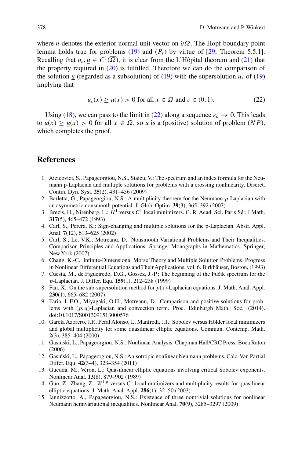<span id="page-21-0"></span>where *n* denotes the exterior normal unit vector on *∂Ω*. The Hopf boundary point lemma holds true for problems (19) and  $(P_{\varepsilon})$  by virtue of [\[29,](#page-22-0) Theorem 5.5.1]. Recalling that  $u_{\varepsilon}$ ,  $u \in C^1(\overline{\Omega})$ , it is clear from the L'Hôpital theorem and (21) that the property required in  $(20)$  is fulfilled. Therefore we can do the comparison of the solution *u* (regarded as a subsolution) of (19) with the supersolution  $u<sub>\epsilon</sub>$  of (19) implying that

$$
u_{\varepsilon}(x) \ge \underline{u}(x) > 0 \text{ for all } x \in \Omega \text{ and } \varepsilon \in (0, 1). \tag{22}
$$

Using (18), we can pass to the limit in (22) along a sequence  $\varepsilon_n \to 0$ . This leads to  $u(x) \ge u(x) > 0$  for all  $x \in \Omega$ , so *u* is a (positive) solution of problem  $(NP)$ , which completes the proof.

### **References**

- 1. Aizicovici, S., Papageorgiou, N.S., Staicu, V.: The spectrum and an index formula for the Neumann p-Laplacian and multiple solutions for problems with a crossing nonlinearity. Discret. Contin. Dyn. Syst. **25**(2), 431–456 (2009)
- 2. Barletta, G., Papageorgiou, N.S.: A multiplicity theorem for the Neumann *p*-Laplacian with an asymmetric nonsmooth potential. J. Glob. Optim. **39**(3), 365–392 (2007)
- 3. Brezis, H., Nirenberg, L.: *H*<sup>1</sup> versus *C*<sup>1</sup> local minimizers. C. R. Acad. Sci. Paris Sér. I Math. **317**(5), 465–472 (1993)
- 4. Carl, S., Perera, K.: Sign-changing and multiple solutions for the p-Laplacian. Abstr. Appl. Anal. **7**(12), 613–625 (2002)
- 5. Carl, S., Le, V.K., Motreanu, D.: Nonsmooth Variational Problems and Their Inequalities. Comparison Principles and Applications. Springer Monographs in Mathematics. Springer, New York (2007)
- 6. Chang, K.-C.: Infinite-Dimensional Morse Theory and Multiple Solution Problems. Progress in Nonlinear Differential Equations and Their Applications, vol. 6. Birkhäuser, Boston, (1993)
- 7. Cuesta, M., de Figueiredo, D.G., Gossez, J.-P.: The beginning of the Fučik spectrum for the *p*-Laplacian. J. Differ. Equ. **159**(1), 212–238 (1999)
- 8. Fan, X.: On the sub-supersolution method for *p*(*x*)-Laplacian equations. J. Math. Anal. Appl. **230**(1), 665–682 (2007)
- 9. Faria, L.F.O., Miyagaki, O.H., Motreanu, D.: Comparison and positive solutions for problems with (*p*, *q*)-Laplacian and convection term. Proc. Edinburgh Math. Soc. (2014). doi:10.1017/S0013091513000576
- 10. García Azorero, J.P., Peral Alonso, I., Manfredi, J.J.: Sobolev versus Hölder local minimizers and global multiplicity for some quasilinear elliptic equations. Commun. Contemp. Math. **2**(3), 385–404 (2000)
- 11. Gasinski, L., Papageorgiou, N.S.: Nonlinear Analysis. Chapman Hall/CRC Press, Boca Raton (2006)
- 12. Gasiński, L., Papageorgiou, N.S.: Anisotropic nonlinear Neumann problems. Calc. Var. Partial Differ. Equ. **42**(3–4), 323–354 (2011)
- 13. Guedda, M., Véron, L.: Quasilinear elliptic equations involving critical Sobolev exponents. Nonlinear Anal. **13**(8), 879–902 (1989)
- 14. Guo, Z., Zhang, Z.: *W*1,*<sup>p</sup>* versus *C*<sup>1</sup> local minimizers and multiplicity results for quasilinear elliptic equations. J. Math. Anal. Appl. **286**(1), 32–50 (2003)
- 15. Iannizzotto, A., Papageorgiou, N.S.: Existence of three nontrivial solutions for nonlinear Neumann hemivariational inequalities. Nonlinear Anal. **70**(9), 3285–3297 (2009)